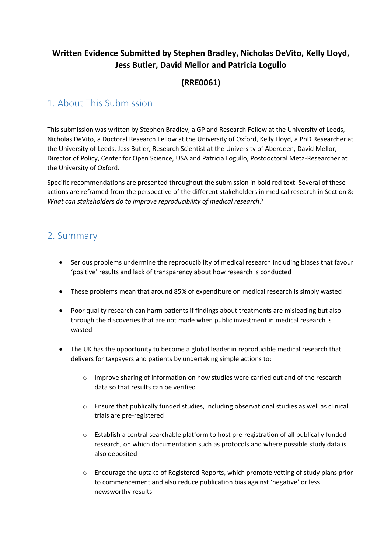## **Written Evidence Submitted by Stephen Bradley, Nicholas DeVito, Kelly Lloyd, Jess Butler, David Mellor and Patricia Logullo**

## **(RRE0061)**

## 1. About This Submission

This submission was written by Stephen Bradley, a GP and Research Fellow at the University of Leeds, Nicholas DeVito, a Doctoral Research Fellow at the University of Oxford, Kelly Lloyd, a PhD Researcher at the University of Leeds, Jess Butler, Research Scientist at the University of Aberdeen, David Mellor, Director of Policy, Center for Open Science, USA and Patricia Logullo, Postdoctoral Meta-Researcher at the University of Oxford.

Specific recommendations are presented throughout the submission in bold red text. Several of these actions are reframed from the perspective of the different stakeholders in medical research in Section 8: *What can stakeholders do to improve reproducibility of medical research?*

## 2. Summary

- Serious problems undermine the reproducibility of medical research including biases that favour 'positive' results and lack of transparency about how research is conducted
- These problems mean that around 85% of expenditure on medical research is simply wasted
- Poor quality research can harm patients if findings about treatments are misleading but also through the discoveries that are not made when public investment in medical research is wasted
- The UK has the opportunity to become a global leader in reproducible medical research that delivers for taxpayers and patients by undertaking simple actions to:
	- o Improve sharing of information on how studies were carried out and of the research data so that results can be verified
	- $\circ$  Ensure that publically funded studies, including observational studies as well as clinical trials are pre-registered
	- o Establish a central searchable platform to host pre-registration of all publically funded research, on which documentation such as protocols and where possible study data is also deposited
	- o Encourage the uptake of Registered Reports, which promote vetting of study plans prior to commencement and also reduce publication bias against 'negative' or less newsworthy results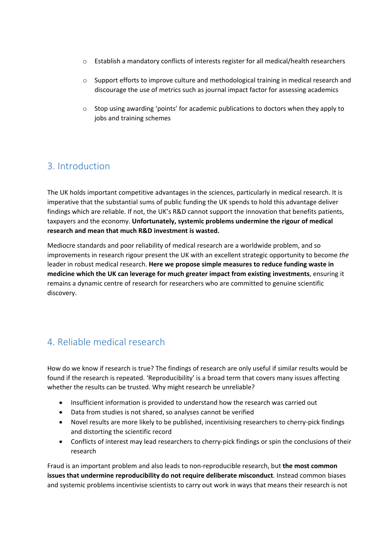- o Establish a mandatory conflicts of interests register for all medical/health researchers
- o Support efforts to improve culture and methodological training in medical research and discourage the use of metrics such as journal impact factor for assessing academics
- o Stop using awarding 'points' for academic publications to doctors when they apply to jobs and training schemes

## 3. Introduction

The UK holds important competitive advantages in the sciences, particularly in medical research. It is imperative that the substantial sums of public funding the UK spends to hold this advantage deliver findings which are reliable. If not, the UK's R&D cannot support the innovation that benefits patients, taxpayers and the economy. **Unfortunately, systemic problems undermine the rigour of medical research and mean that much R&D investment is wasted.**

Mediocre standards and poor reliability of medical research are a worldwide problem, and so improvements in research rigour present the UK with an excellent strategic opportunity to become *the* leader in robust medical research. **Here we propose simple measures to reduce funding waste in medicine which the UK can leverage for much greater impact from existing investments**, ensuring it remains a dynamic centre of research for researchers who are committed to genuine scientific discovery.

## 4. Reliable medical research

How do we know if research is true? The findings of research are only useful if similar results would be found if the research is repeated. 'Reproducibility' is a broad term that covers many issues affecting whether the results can be trusted. Why might research be unreliable?

- Insufficient information is provided to understand how the research was carried out
- Data from studies is not shared, so analyses cannot be verified
- Novel results are more likely to be published, incentivising researchers to cherry-pick findings and distorting the scientific record
- Conflicts of interest may lead researchers to cherry-pick findings or spin the conclusions of their research

Fraud is an important problem and also leads to non-reproducible research, but **the most common issues that undermine reproducibility do not require deliberate misconduct**. Instead common biases and systemic problems incentivise scientists to carry out work in ways that means their research is not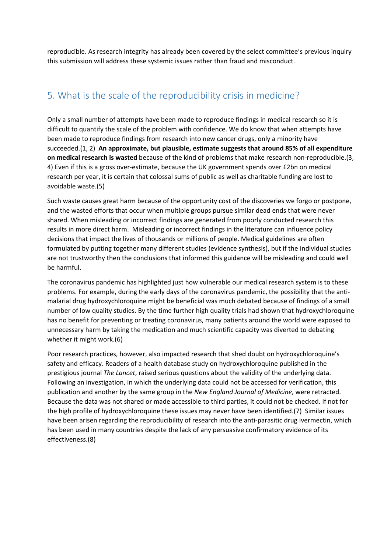reproducible. As research integrity has already been covered by the select committee's previous inquiry this submission will address these systemic issues rather than fraud and misconduct.

# 5. What is the scale of the reproducibility crisis in medicine?

Only a small number of attempts have been made to reproduce findings in medical research so it is difficult to quantify the scale of the problem with confidence. We do know that when attempts have been made to reproduce findings from research into new cancer drugs, only a minority have succeeded.(1, 2) **An approximate, but plausible, estimate suggests that around 85% of all expenditure on medical research is wasted** because of the kind of problems that make research non-reproducible.(3, 4) Even if this is a gross over-estimate, because the UK government spends over £2bn on medical research per year, it is certain that colossal sums of public as well as charitable funding are lost to avoidable waste.(5)

Such waste causes great harm because of the opportunity cost of the discoveries we forgo or postpone, and the wasted efforts that occur when multiple groups pursue similar dead ends that were never shared. When misleading or incorrect findings are generated from poorly conducted research this results in more direct harm. Misleading or incorrect findings in the literature can influence policy decisions that impact the lives of thousands or millions of people. Medical guidelines are often formulated by putting together many different studies (evidence synthesis), but if the individual studies are not trustworthy then the conclusions that informed this guidance will be misleading and could well be harmful.

The coronavirus pandemic has highlighted just how vulnerable our medical research system is to these problems. For example, during the early days of the coronavirus pandemic, the possibility that the antimalarial drug hydroxychloroquine might be beneficial was much debated because of findings of a small number of low quality studies. By the time further high quality trials had shown that hydroxychloroquine has no benefit for preventing or treating coronavirus, many patients around the world were exposed to unnecessary harm by taking the medication and much scientific capacity was diverted to debating whether it might work.(6)

Poor research practices, however, also impacted research that shed doubt on hydroxychloroquine's safety and efficacy. Readers of a health database study on hydroxychloroquine published in the prestigious journal *The Lancet*, raised serious questions about the validity of the underlying data. Following an investigation, in which the underlying data could not be accessed for verification, this publication and another by the same group in the *New England Journal of Medicine*, were retracted. Because the data was not shared or made accessible to third parties, it could not be checked. If not for the high profile of hydroxychloroquine these issues may never have been identified.(7) Similar issues have been arisen regarding the reproducibility of research into the anti-parasitic drug ivermectin, which has been used in many countries despite the lack of any persuasive confirmatory evidence of its effectiveness.(8)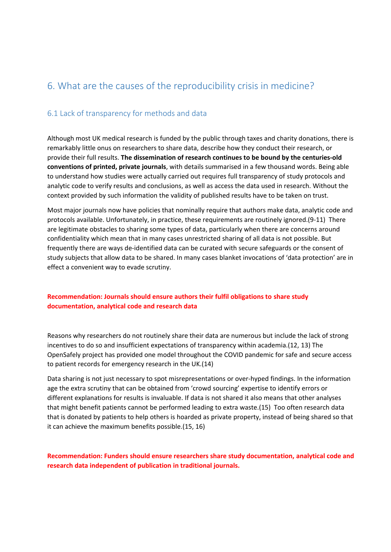# 6. What are the causes of the reproducibility crisis in medicine?

#### 6.1 Lack of transparency for methods and data

Although most UK medical research is funded by the public through taxes and charity donations, there is remarkably little onus on researchers to share data, describe how they conduct their research, or provide their full results. **The dissemination of research continues to be bound by the centuries-old conventions of printed, private journals**, with details summarised in a few thousand words. Being able to understand how studies were actually carried out requires full transparency of study protocols and analytic code to verify results and conclusions, as well as access the data used in research. Without the context provided by such information the validity of published results have to be taken on trust.

Most major journals now have policies that nominally require that authors make data, analytic code and protocols available. Unfortunately, in practice, these requirements are routinely ignored.(9-11) There are legitimate obstacles to sharing some types of data, particularly when there are concerns around confidentiality which mean that in many cases unrestricted sharing of all data is not possible. But frequently there are ways de-identified data can be curated with secure safeguards or the consent of study subjects that allow data to be shared. In many cases blanket invocations of 'data protection' are in effect a convenient way to evade scrutiny.

#### **Recommendation: Journals should ensure authors their fulfil obligations to share study documentation, analytical code and research data**

Reasons why researchers do not routinely share their data are numerous but include the lack of strong incentives to do so and insufficient expectations of transparency within academia.(12, 13) The OpenSafely project has provided one model throughout the COVID pandemic for safe and secure access to patient records for emergency research in the UK.(14)

Data sharing is not just necessary to spot misrepresentations or over-hyped findings. In the information age the extra scrutiny that can be obtained from 'crowd sourcing' expertise to identify errors or different explanations for results is invaluable. If data is not shared it also means that other analyses that might benefit patients cannot be performed leading to extra waste.(15) Too often research data that is donated by patients to help others is hoarded as private property, instead of being shared so that it can achieve the maximum benefits possible.(15, 16)

**Recommendation: Funders should ensure researchers share study documentation, analytical code and research data independent of publication in traditional journals.**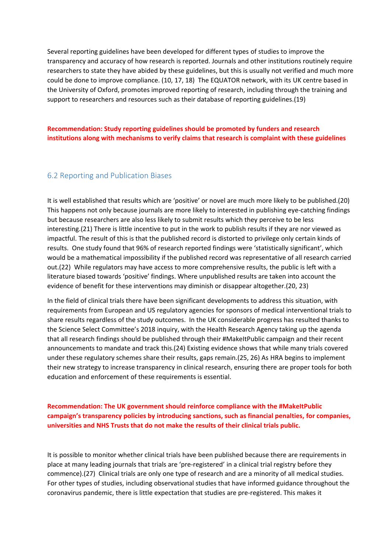Several reporting guidelines have been developed for different types of studies to improve the transparency and accuracy of how research is reported. Journals and other institutions routinely require researchers to state they have abided by these guidelines, but this is usually not verified and much more could be done to improve compliance. (10, 17, 18) The EQUATOR network, with its UK centre based in the University of Oxford, promotes improved reporting of research, including through the training and support to researchers and resources such as their database of reporting guidelines.(19)

**Recommendation: Study reporting guidelines should be promoted by funders and research institutions along with mechanisms to verify claims that research is complaint with these guidelines** 

#### 6.2 Reporting and Publication Biases

It is well established that results which are 'positive' or novel are much more likely to be published.(20) This happens not only because journals are more likely to interested in publishing eye-catching findings but because researchers are also less likely to submit results which they perceive to be less interesting.(21) There is little incentive to put in the work to publish results if they are nor viewed as impactful. The result of this is that the published record is distorted to privilege only certain kinds of results. One study found that 96% of research reported findings were 'statistically significant', which would be a mathematical impossibility if the published record was representative of all research carried out.(22) While regulators may have access to more comprehensive results, the public is left with a literature biased towards 'positive' findings. Where unpublished results are taken into account the evidence of benefit for these interventions may diminish or disappear altogether.(20, 23)

In the field of clinical trials there have been significant developments to address this situation, with requirements from European and US regulatory agencies for sponsors of medical interventional trials to share results regardless of the study outcomes. In the UK considerable progress has resulted thanks to the Science Select Committee's 2018 inquiry, with the Health Research Agency taking up the agenda that all research findings should be published through their #MakeItPublic campaign and their recent announcements to mandate and track this.(24) Existing evidence shows that while many trials covered under these regulatory schemes share their results, gaps remain.(25, 26) As HRA begins to implement their new strategy to increase transparency in clinical research, ensuring there are proper tools for both education and enforcement of these requirements is essential.

**Recommendation: The UK government should reinforce compliance with the #MakeItPublic campaign's transparency policies by introducing sanctions, such as financial penalties, for companies, universities and NHS Trusts that do not make the results of their clinical trials public.**

It is possible to monitor whether clinical trials have been published because there are requirements in place at many leading journals that trials are 'pre-registered' in a clinical trial registry before they commence).(27) Clinical trials are only one type of research and are a minority of all medical studies. For other types of studies, including observational studies that have informed guidance throughout the coronavirus pandemic, there is little expectation that studies are pre-registered. This makes it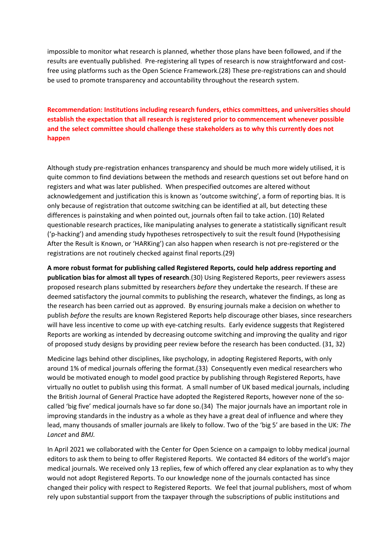impossible to monitor what research is planned, whether those plans have been followed, and if the results are eventually published. Pre-registering all types of research is now straightforward and costfree using platforms such as the Open Science Framework.(28) These pre-registrations can and should be used to promote transparency and accountability throughout the research system.

**Recommendation: Institutions including research funders, ethics committees, and universities should establish the expectation that all research is registered prior to commencement whenever possible and the select committee should challenge these stakeholders as to why this currently does not happen**

Although study pre-registration enhances transparency and should be much more widely utilised, it is quite common to find deviations between the methods and research questions set out before hand on registers and what was later published. When prespecified outcomes are altered without acknowledgement and justification this is known as 'outcome switching', a form of reporting bias. It is only because of registration that outcome switching can be identified at all, but detecting these differences is painstaking and when pointed out, journals often fail to take action. (10) Related questionable research practices, like manipulating analyses to generate a statistically significant result ('p-hacking') and amending study hypotheses retrospectively to suit the result found (Hypothesising After the Result is Known, or 'HARKing') can also happen when research is not pre-registered or the registrations are not routinely checked against final reports.(29)

**A more robust format for publishing called Registered Reports, could help address reporting and publication bias for almost all types of research**.(30) Using Registered Reports, peer reviewers assess proposed research plans submitted by researchers *before* they undertake the research. If these are deemed satisfactory the journal commits to publishing the research, whatever the findings, as long as the research has been carried out as approved. By ensuring journals make a decision on whether to publish *before* the results are known Registered Reports help discourage other biases, since researchers will have less incentive to come up with eye-catching results. Early evidence suggests that Registered Reports are working as intended by decreasing outcome switching and improving the quality and rigor of proposed study designs by providing peer review before the research has been conducted. (31, 32)

Medicine lags behind other disciplines, like psychology, in adopting Registered Reports, with only around 1% of medical journals offering the format.(33) Consequently even medical researchers who would be motivated enough to model good practice by publishing through Registered Reports, have virtually no outlet to publish using this format. A small number of UK based medical journals, including the British Journal of General Practice have adopted the Registered Reports, however none of the socalled 'big five' medical journals have so far done so.(34) The major journals have an important role in improving standards in the industry as a whole as they have a great deal of influence and where they lead, many thousands of smaller journals are likely to follow. Two of the 'big 5' are based in the UK: *The Lancet* and *BMJ.*

In April 2021 we collaborated with the Center for Open Science on a campaign to lobby medical journal editors to ask them to being to offer Registered Reports. We contacted 84 editors of the world's major medical journals. We received only 13 replies, few of which offered any clear explanation as to why they would not adopt Registered Reports. To our knowledge none of the journals contacted has since changed their policy with respect to Registered Reports. We feel that journal publishers, most of whom rely upon substantial support from the taxpayer through the subscriptions of public institutions and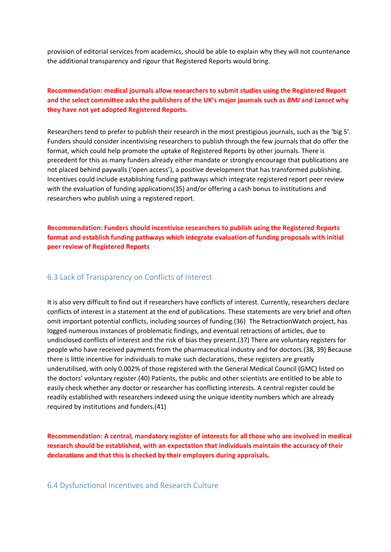provision of editorial services from academics, should be able to explain why they will not countenance the additional transparency and rigour that Registered Reports would bring.

#### **Recommendation: medical journals allow researchers to submit studies using the Registered Report and the select committee asks the publishers of the UK's major journals such as** *BMJ* **and** *Lancet* **why they have not yet adopted Registered Reports.**

Researchers tend to prefer to publish their research in the most prestigious journals, such as the 'big 5'. Funders should consider incentivising researchers to publish through the few journals that do offer the format, which could help promote the uptake of Registered Reports by other journals. There is precedent for this as many funders already either mandate or strongly encourage that publications are not placed behind paywalls ('open access'), a positive development that has transformed publishing. Incentives could include establishing funding pathways which integrate registered report peer review with the evaluation of funding applications(35) and/or offering a cash bonus to institutions and researchers who publish using a registered report.

**Recommendation: Funders should incentivise researchers to publish using the Registered Reports format and establish funding pathways which integrate evaluation of funding proposals with initial peer review of Registered Reports**

#### 6.3 Lack of Transparency on Conflicts of Interest

It is also very difficult to find out if researchers have conflicts of interest. Currently, researchers declare conflicts of interest in a statement at the end of publications. These statements are very brief and often omit important potential conflicts, including sources of funding.(36) The RetractionWatch project, has logged numerous instances of problematic findings, and eventual retractions of articles, due to undisclosed conflicts of interest and the risk of bias they present.(37) There are voluntary registers for people who have received payments from the pharmaceutical industry and for doctors.(38, 39) Because there is little incentive for individuals to make such declarations, these registers are greatly underutilised, with only 0.002% of those registered with the General Medical Council (GMC) listed on the doctors' voluntary register.(40) Patients, the public and other scientists are entitled to be able to easily check whether any doctor or researcher has conflicting interests. A central register could be readily established with researchers indexed using the unique identity numbers which are already required by institutions and funders.(41)

**Recommendation: A central, mandatory register of interests for all those who are involved in medical research should be established, with an expectation that individuals maintain the accuracy of their declarations and that this is checked by their employers during appraisals.**

6.4 Dysfunctional Incentives and Research Culture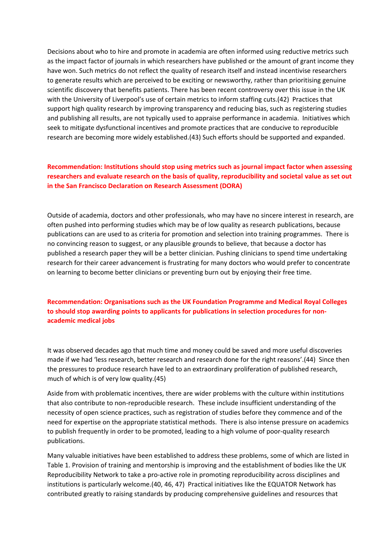Decisions about who to hire and promote in academia are often informed using reductive metrics such as the impact factor of journals in which researchers have published or the amount of grant income they have won. Such metrics do not reflect the quality of research itself and instead incentivise researchers to generate results which are perceived to be exciting or newsworthy, rather than prioritising genuine scientific discovery that benefits patients. There has been recent controversy over this issue in the UK with the University of Liverpool's use of certain metrics to inform staffing cuts.(42) Practices that support high quality research by improving transparency and reducing bias, such as registering studies and publishing all results, are not typically used to appraise performance in academia. Initiatives which seek to mitigate dysfunctional incentives and promote practices that are conducive to reproducible research are becoming more widely established.(43) Such efforts should be supported and expanded.

#### **Recommendation: Institutions should stop using metrics such as journal impact factor when assessing researchers and evaluate research on the basis of quality, reproducibility and societal value as set out in the San Francisco Declaration on Research Assessment (DORA)**

Outside of academia, doctors and other professionals, who may have no sincere interest in research, are often pushed into performing studies which may be of low quality as research publications, because publications can are used to as criteria for promotion and selection into training programmes. There is no convincing reason to suggest, or any plausible grounds to believe, that because a doctor has published a research paper they will be a better clinician. Pushing clinicians to spend time undertaking research for their career advancement is frustrating for many doctors who would prefer to concentrate on learning to become better clinicians or preventing burn out by enjoying their free time.

#### **Recommendation: Organisations such as the UK Foundation Programme and Medical Royal Colleges to should stop awarding points to applicants for publications in selection procedures for nonacademic medical jobs**

It was observed decades ago that much time and money could be saved and more useful discoveries made if we had 'less research, better research and research done for the right reasons'.(44) Since then the pressures to produce research have led to an extraordinary proliferation of published research, much of which is of very low quality.(45)

Aside from with problematic incentives, there are wider problems with the culture within institutions that also contribute to non-reproducible research. These include insufficient understanding of the necessity of open science practices, such as registration of studies before they commence and of the need for expertise on the appropriate statistical methods. There is also intense pressure on academics to publish frequently in order to be promoted, leading to a high volume of poor-quality research publications.

Many valuable initiatives have been established to address these problems, some of which are listed in Table 1. Provision of training and mentorship is improving and the establishment of bodies like the UK Reproducibility Network to take a pro-active role in promoting reproducibility across disciplines and institutions is particularly welcome.(40, 46, 47) Practical initiatives like the EQUATOR Network has contributed greatly to raising standards by producing comprehensive guidelines and resources that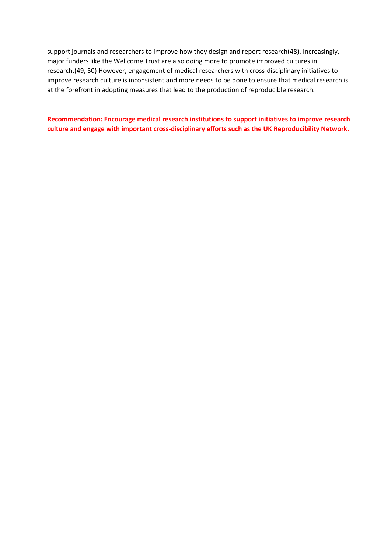support journals and researchers to improve how they design and report research(48). Increasingly, major funders like the Wellcome Trust are also doing more to promote improved cultures in research.(49, 50) However, engagement of medical researchers with cross-disciplinary initiatives to improve research culture is inconsistent and more needs to be done to ensure that medical research is at the forefront in adopting measures that lead to the production of reproducible research.

**Recommendation: Encourage medical research institutions to support initiatives to improve research culture and engage with important cross-disciplinary efforts such as the UK Reproducibility Network.**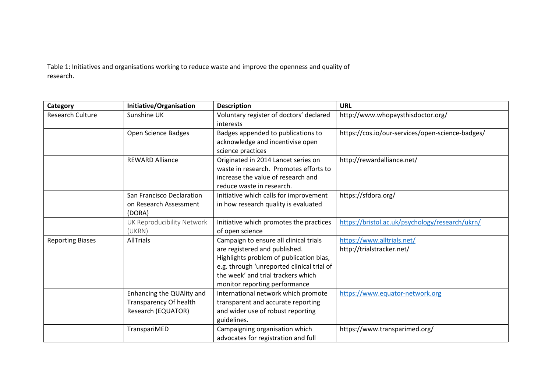Table 1: Initiatives and organisations working to reduce waste and improve the openness and quality of research.

| Category                | Initiative/Organisation                                                   | <b>Description</b>                                                                                                                                                                                                                      | <b>URL</b>                                              |
|-------------------------|---------------------------------------------------------------------------|-----------------------------------------------------------------------------------------------------------------------------------------------------------------------------------------------------------------------------------------|---------------------------------------------------------|
| <b>Research Culture</b> | Sunshine UK                                                               | Voluntary register of doctors' declared<br>interests                                                                                                                                                                                    | http://www.whopaysthisdoctor.org/                       |
|                         | Open Science Badges                                                       | Badges appended to publications to<br>acknowledge and incentivise open<br>science practices                                                                                                                                             | https://cos.io/our-services/open-science-badges/        |
|                         | <b>REWARD Alliance</b>                                                    | Originated in 2014 Lancet series on<br>waste in research. Promotes efforts to<br>increase the value of research and<br>reduce waste in research.                                                                                        | http://rewardalliance.net/                              |
|                         | San Francisco Declaration<br>on Research Assessment<br>(DORA)             | Initiative which calls for improvement<br>in how research quality is evaluated                                                                                                                                                          | https://sfdora.org/                                     |
|                         | UK Reproducibility Network<br>(UKRN)                                      | Initiative which promotes the practices<br>of open science                                                                                                                                                                              | https://bristol.ac.uk/psychology/research/ukrn/         |
| <b>Reporting Biases</b> | <b>AllTrials</b>                                                          | Campaign to ensure all clinical trials<br>are registered and published.<br>Highlights problem of publication bias,<br>e.g. through 'unreported clinical trial of<br>the week' and trial trackers which<br>monitor reporting performance | https://www.alltrials.net/<br>http://trialstracker.net/ |
|                         | Enhancing the QUAlity and<br>Transparency Of health<br>Research (EQUATOR) | International network which promote<br>transparent and accurate reporting<br>and wider use of robust reporting<br>guidelines.                                                                                                           | https://www.equator-network.org                         |
|                         | TranspariMED                                                              | Campaigning organisation which<br>advocates for registration and full                                                                                                                                                                   | https://www.transparimed.org/                           |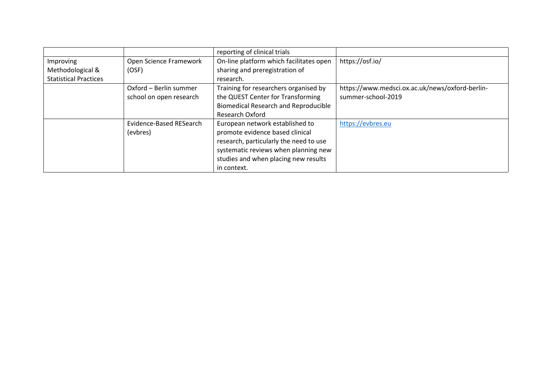|                              |                                                            | reporting of clinical trials                |                                                 |
|------------------------------|------------------------------------------------------------|---------------------------------------------|-------------------------------------------------|
| Improving                    | Open Science Framework                                     | On-line platform which facilitates open     | https://osf.io/                                 |
| Methodological &             | (OSF)                                                      | sharing and preregistration of              |                                                 |
| <b>Statistical Practices</b> |                                                            | research.                                   |                                                 |
|                              | Oxford - Berlin summer                                     | Training for researchers organised by       | https://www.medsci.ox.ac.uk/news/oxford-berlin- |
| school on open research      |                                                            | the QUEST Center for Transforming           | summer-school-2019                              |
|                              |                                                            | <b>Biomedical Research and Reproducible</b> |                                                 |
|                              |                                                            | <b>Research Oxford</b>                      |                                                 |
|                              | Evidence-Based RESearch<br>European network established to |                                             | https://evbres.eu                               |
| (evbres)                     |                                                            | promote evidence based clinical             |                                                 |
|                              |                                                            | research, particularly the need to use      |                                                 |
|                              |                                                            | systematic reviews when planning new        |                                                 |
|                              |                                                            | studies and when placing new results        |                                                 |
|                              |                                                            | in context.                                 |                                                 |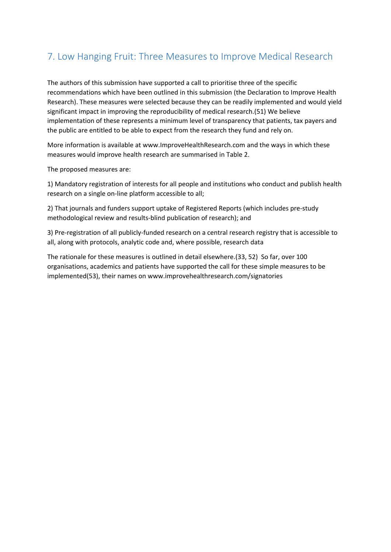# 7. Low Hanging Fruit: Three Measures to Improve Medical Research

The authors of this submission have supported a call to prioritise three of the specific recommendations which have been outlined in this submission (the Declaration to Improve Health Research). These measures were selected because they can be readily implemented and would yield significant impact in improving the reproducibility of medical research.(51) We believe implementation of these represents a minimum level of transparency that patients, tax payers and the public are entitled to be able to expect from the research they fund and rely on.

More information is available at www.ImproveHealthResearch.com and the ways in which these measures would improve health research are summarised in Table 2.

The proposed measures are:

1) Mandatory registration of interests for all people and institutions who conduct and publish health research on a single on-line platform accessible to all;

2) That journals and funders support uptake of Registered Reports (which includes pre-study methodological review and results-blind publication of research); and

3) Pre-registration of all publicly-funded research on a central research registry that is accessible to all, along with protocols, analytic code and, where possible, research data

The rationale for these measures is outlined in detail elsewhere.(33, 52) So far, over 100 organisations, academics and patients have supported the call for these simple measures to be implemented(53), their names on www.improvehealthresearch.com/signatories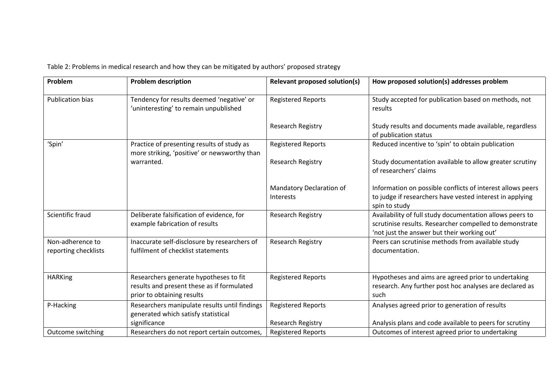| Problem                                  | <b>Problem description</b>                                                                                         | <b>Relevant proposed solution(s)</b>         | How proposed solution(s) addresses problem                                                                                                                         |
|------------------------------------------|--------------------------------------------------------------------------------------------------------------------|----------------------------------------------|--------------------------------------------------------------------------------------------------------------------------------------------------------------------|
| <b>Publication bias</b>                  | Tendency for results deemed 'negative' or<br>'uninteresting' to remain unpublished                                 | <b>Registered Reports</b>                    | Study accepted for publication based on methods, not<br>results                                                                                                    |
|                                          |                                                                                                                    | <b>Research Registry</b>                     | Study results and documents made available, regardless<br>of publication status                                                                                    |
| 'Spin'                                   | Practice of presenting results of study as<br>more striking, 'positive' or newsworthy than                         | <b>Registered Reports</b>                    | Reduced incentive to 'spin' to obtain publication                                                                                                                  |
|                                          | warranted.                                                                                                         | <b>Research Registry</b>                     | Study documentation available to allow greater scrutiny<br>of researchers' claims                                                                                  |
|                                          |                                                                                                                    | Mandatory Declaration of<br><b>Interests</b> | Information on possible conflicts of interest allows peers<br>to judge if researchers have vested interest in applying<br>spin to study                            |
| Scientific fraud                         | Deliberate falsification of evidence, for<br>example fabrication of results                                        | <b>Research Registry</b>                     | Availability of full study documentation allows peers to<br>scrutinise results. Researcher compelled to demonstrate<br>'not just the answer but their working out' |
| Non-adherence to<br>reporting checklists | Inaccurate self-disclosure by researchers of<br>fulfilment of checklist statements                                 | <b>Research Registry</b>                     | Peers can scrutinise methods from available study<br>documentation.                                                                                                |
| <b>HARKing</b>                           | Researchers generate hypotheses to fit<br>results and present these as if formulated<br>prior to obtaining results | <b>Registered Reports</b>                    | Hypotheses and aims are agreed prior to undertaking<br>research. Any further post hoc analyses are declared as<br>such                                             |
| P-Hacking                                | Researchers manipulate results until findings<br>generated which satisfy statistical                               | <b>Registered Reports</b>                    | Analyses agreed prior to generation of results                                                                                                                     |
|                                          | significance                                                                                                       | <b>Research Registry</b>                     | Analysis plans and code available to peers for scrutiny                                                                                                            |
| Outcome switching                        | Researchers do not report certain outcomes,                                                                        | <b>Registered Reports</b>                    | Outcomes of interest agreed prior to undertaking                                                                                                                   |

Table 2: Problems in medical research and how they can be mitigated by authors' proposed strategy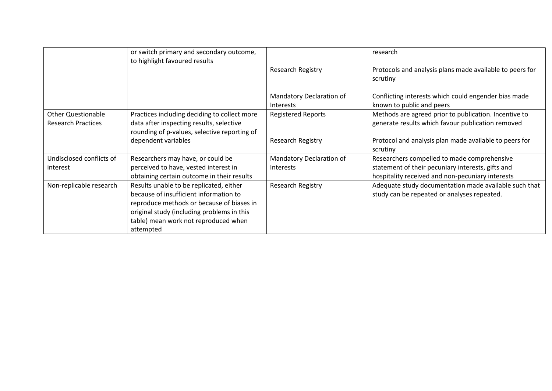|                                                        | or switch primary and secondary outcome,<br>to highlight favoured results                                                                                                                                                         |                                              | research                                                                                                                                             |
|--------------------------------------------------------|-----------------------------------------------------------------------------------------------------------------------------------------------------------------------------------------------------------------------------------|----------------------------------------------|------------------------------------------------------------------------------------------------------------------------------------------------------|
|                                                        |                                                                                                                                                                                                                                   | Research Registry                            | Protocols and analysis plans made available to peers for<br>scrutiny                                                                                 |
|                                                        |                                                                                                                                                                                                                                   | Mandatory Declaration of<br><b>Interests</b> | Conflicting interests which could engender bias made<br>known to public and peers                                                                    |
| <b>Other Questionable</b><br><b>Research Practices</b> | Practices including deciding to collect more<br>data after inspecting results, selective<br>rounding of p-values, selective reporting of                                                                                          | <b>Registered Reports</b>                    | Methods are agreed prior to publication. Incentive to<br>generate results which favour publication removed                                           |
|                                                        | dependent variables                                                                                                                                                                                                               | Research Registry                            | Protocol and analysis plan made available to peers for<br>scrutiny                                                                                   |
| Undisclosed conflicts of<br>interest                   | Researchers may have, or could be<br>perceived to have, vested interest in<br>obtaining certain outcome in their results                                                                                                          | Mandatory Declaration of<br><b>Interests</b> | Researchers compelled to made comprehensive<br>statement of their pecuniary interests, gifts and<br>hospitality received and non-pecuniary interests |
| Non-replicable research                                | Results unable to be replicated, either<br>because of insufficient information to<br>reproduce methods or because of biases in<br>original study (including problems in this<br>table) mean work not reproduced when<br>attempted | Research Registry                            | Adequate study documentation made available such that<br>study can be repeated or analyses repeated.                                                 |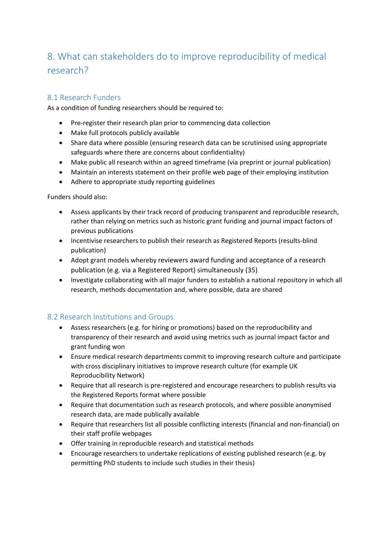# 8. What can stakeholders do to improve reproducibility of medical research?

### 8.1 Research Funders

As a condition of funding researchers should be required to:

- Pre-register their research plan prior to commencing data collection
- Make full protocols publicly available
- Share data where possible (ensuring research data can be scrutinised using appropriate safeguards where there are concerns about confidentiality)
- Make public all research within an agreed timeframe (via preprint or journal publication)
- Maintain an interests statement on their profile web page of their employing institution
- Adhere to appropriate study reporting guidelines

Funders should also:

- Assess applicants by their track record of producing transparent and reproducible research, rather than relying on metrics such as historic grant funding and journal impact factors of previous publications
- Incentivise researchers to publish their research as Registered Reports (results-blind publication)
- Adopt grant models whereby reviewers award funding and acceptance of a research publication (e.g. via a Registered Report) simultaneously (35)
- Investigate collaborating with all major funders to establish a national repository in which all research, methods documentation and, where possible, data are shared

### 8.2 Research Institutions and Groups

- Assess researchers (e.g. for hiring or promotions) based on the reproducibility and transparency of their research and avoid using metrics such as journal impact factor and grant funding won
- Ensure medical research departments commit to improving research culture and participate with cross disciplinary initiatives to improve research culture (for example UK Reproducibility Network)
- Require that all research is pre-registered and encourage researchers to publish results via the Registered Reports format where possible
- Require that documentation such as research protocols, and where possible anonymised research data, are made publically available
- Require that researchers list all possible conflicting interests (financial and non-financial) on their staff profile webpages
- Offer training in reproducible research and statistical methods
- Encourage researchers to undertake replications of existing published research (e.g. by permitting PhD students to include such studies in their thesis)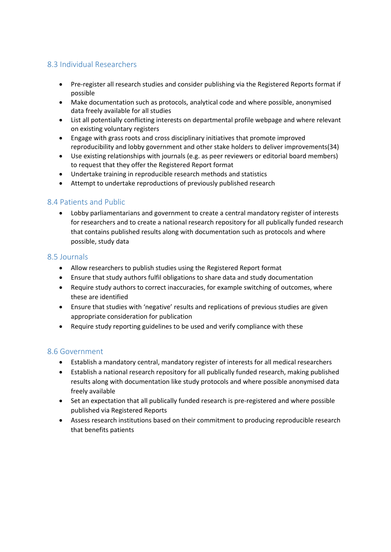### 8.3 Individual Researchers

- Pre-register all research studies and consider publishing via the Registered Reports format if possible
- Make documentation such as protocols, analytical code and where possible, anonymised data freely available for all studies
- List all potentially conflicting interests on departmental profile webpage and where relevant on existing voluntary registers
- Engage with grass roots and cross disciplinary initiatives that promote improved reproducibility and lobby government and other stake holders to deliver improvements(34)
- Use existing relationships with journals (e.g. as peer reviewers or editorial board members) to request that they offer the Registered Report format
- Undertake training in reproducible research methods and statistics
- Attempt to undertake reproductions of previously published research

#### 8.4 Patients and Public

 Lobby parliamentarians and government to create a central mandatory register of interests for researchers and to create a national research repository for all publically funded research that contains published results along with documentation such as protocols and where possible, study data

#### 8.5 Journals

- Allow researchers to publish studies using the Registered Report format
- Ensure that study authors fulfil obligations to share data and study documentation
- Require study authors to correct inaccuracies, for example switching of outcomes, where these are identified
- Ensure that studies with 'negative' results and replications of previous studies are given appropriate consideration for publication
- Require study reporting guidelines to be used and verify compliance with these

#### 8.6 Government

- Establish a mandatory central, mandatory register of interests for all medical researchers
- Establish a national research repository for all publically funded research, making published results along with documentation like study protocols and where possible anonymised data freely available
- Set an expectation that all publically funded research is pre-registered and where possible published via Registered Reports
- Assess research institutions based on their commitment to producing reproducible research that benefits patients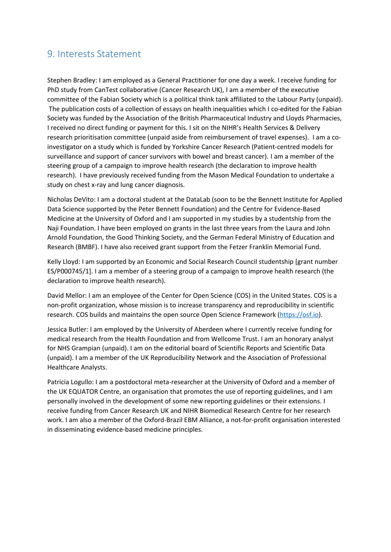## 9. Interests Statement

Stephen Bradley: I am employed as a General Practitioner for one day a week. I receive funding for PhD study from CanTest collaborative (Cancer Research UK), I am a member of the executive committee of the Fabian Society which is a political think tank affiliated to the Labour Party (unpaid). The publication costs of a collection of essays on health inequalities which I co-edited for the Fabian Society was funded by the Association of the British Pharmaceutical Industry and Lloyds Pharmacies, I received no direct funding or payment for this. I sit on the NIHR's Health Services & Delivery research prioritisation committee (unpaid aside from reimbursement of travel expenses). I am a coinvestigator on a study which is funded by Yorkshire Cancer Research (Patient-centred models for surveillance and support of cancer survivors with bowel and breast cancer). I am a member of the steering group of a campaign to improve health research (the declaration to improve health research). I have previously received funding from the Mason Medical Foundation to undertake a study on chest x-ray and lung cancer diagnosis.

Nicholas DeVito: I am a doctoral student at the DataLab (soon to be the Bennett Institute for Applied Data Science supported by the Peter Bennett Foundation) and the Centre for Evidence-Based Medicine at the University of Oxford and I am supported in my studies by a studentship from the Naji Foundation. I have been employed on grants in the last three years from the Laura and John Arnold Foundation, the Good Thinking Society, and the German Federal Ministry of Education and Research (BMBF). I have also received grant support from the Fetzer Franklin Memorial Fund.

Kelly Lloyd: I am supported by an Economic and Social Research Council studentship [grant number ES/P000745/1]. I am a member of a steering group of a campaign to improve health research (the declaration to improve health research).

David Mellor: I am an employee of the Center for Open Science (COS) in the United States. COS is a non-profit organization, whose mission is to increase transparency and reproducibility in scientific research. COS builds and maintains the open source Open Science Framework [\(https://osf.io](https://osf.io/)).

Jessica Butler: I am employed by the University of Aberdeen where I currently receive funding for medical research from the Health Foundation and from Wellcome Trust. I am an honorary analyst for NHS Grampian (unpaid). I am on the editorial board of Scientific Reports and Scientific Data (unpaid). I am a member of the UK Reproducibility Network and the Association of Professional Healthcare Analysts.

Patricia Logullo: I am a postdoctoral meta-researcher at the University of Oxford and a member of the UK EQUATOR Centre, an organisation that promotes the use of reporting guidelines, and I am personally involved in the development of some new reporting guidelines or their extensions. I receive funding from Cancer Research UK and NIHR Biomedical Research Centre for her research work. I am also a member of the Oxford-Brazil EBM Alliance, a not-for-profit organisation interested in disseminating evidence-based medicine principles.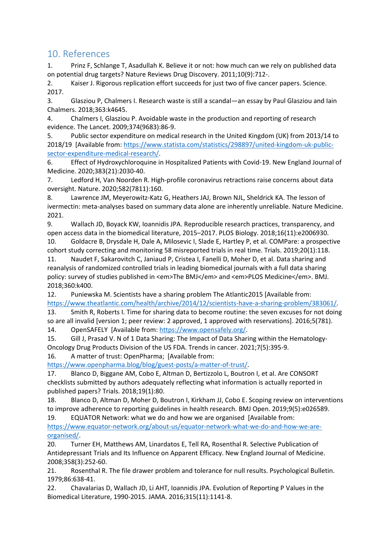## 10. References

1. Prinz F, Schlange T, Asadullah K. Believe it or not: how much can we rely on published data on potential drug targets? Nature Reviews Drug Discovery. 2011;10(9):712-.

2. Kaiser J. Rigorous replication effort succeeds for just two of five cancer papers. Science. 2017.

3. Glasziou P, Chalmers I. Research waste is still a scandal—an essay by Paul Glasziou and Iain Chalmers. 2018;363:k4645.

4. Chalmers I, Glasziou P. Avoidable waste in the production and reporting of research evidence. The Lancet. 2009;374(9683):86-9.

5. Public sector expenditure on medical research in the United Kingdom (UK) from 2013/14 to 2018/19 [Available from: [https://www.statista.com/statistics/298897/united-kingdom-uk-public](https://www.statista.com/statistics/298897/united-kingdom-uk-public-sector-expenditure-medical-research/)[sector-expenditure-medical-research/.](https://www.statista.com/statistics/298897/united-kingdom-uk-public-sector-expenditure-medical-research/)

6. Effect of Hydroxychloroquine in Hospitalized Patients with Covid-19. New England Journal of Medicine. 2020;383(21):2030-40.

7. Ledford H, Van Noorden R. High-profile coronavirus retractions raise concerns about data oversight. Nature. 2020;582(7811):160.

8. Lawrence JM, Meyerowitz-Katz G, Heathers JAJ, Brown NJL, Sheldrick KA. The lesson of ivermectin: meta-analyses based on summary data alone are inherently unreliable. Nature Medicine. 2021.

9. Wallach JD, Boyack KW, Ioannidis JPA. Reproducible research practices, transparency, and open access data in the biomedical literature, 2015–2017. PLOS Biology. 2018;16(11):e2006930. 10. Goldacre B, Drysdale H, Dale A, Milosevic I, Slade E, Hartley P, et al. COMPare: a prospective

cohort study correcting and monitoring 58 misreported trials in real time. Trials. 2019;20(1):118. 11. Naudet F, Sakarovitch C, Janiaud P, Cristea I, Fanelli D, Moher D, et al. Data sharing and reanalysis of randomized controlled trials in leading biomedical journals with a full data sharing policy: survey of studies published in <em>The BMJ</em> and <em>PLOS Medicine</em>. BMJ.

2018;360:k400.

12. Puniewska M. Scientists have a sharing problem The Atlantic2015 [Available from: [https://www.theatlantic.com/health/archive/2014/12/scientists-have-a-sharing-problem/383061/.](https://www.theatlantic.com/health/archive/2014/12/scientists-have-a-sharing-problem/383061/)

13. Smith R, Roberts I. Time for sharing data to become routine: the seven excuses for not doing so are all invalid [version 1; peer review: 2 approved, 1 approved with reservations]. 2016;5(781). 14. OpenSAFELY [Available from: <https://www.opensafely.org/>.

15. Gill J, Prasad V. N of 1 Data Sharing: The Impact of Data Sharing within the Hematology-Oncology Drug Products Division of the US FDA. Trends in cancer. 2021;7(5):395-9.

16. A matter of trust: OpenPharma; [Available from:

[https://www.openpharma.blog/blog/guest-posts/a-matter-of-trust/.](https://www.openpharma.blog/blog/guest-posts/a-matter-of-trust/)

17. Blanco D, Biggane AM, Cobo E, Altman D, Bertizzolo L, Boutron I, et al. Are CONSORT checklists submitted by authors adequately reflecting what information is actually reported in published papers? Trials. 2018;19(1):80.

18. Blanco D, Altman D, Moher D, Boutron I, Kirkham JJ, Cobo E. Scoping review on interventions to improve adherence to reporting guidelines in health research. BMJ Open. 2019;9(5):e026589.

19. EQUATOR Network: what we do and how we are organised [Available from: [https://www.equator-network.org/about-us/equator-network-what-we-do-and-how-we-are](https://www.equator-network.org/about-us/equator-network-what-we-do-and-how-we-are-organised/)[organised/](https://www.equator-network.org/about-us/equator-network-what-we-do-and-how-we-are-organised/).

20. Turner EH, Matthews AM, Linardatos E, Tell RA, Rosenthal R. Selective Publication of Antidepressant Trials and Its Influence on Apparent Efficacy. New England Journal of Medicine. 2008;358(3):252-60.

21. Rosenthal R. The file drawer problem and tolerance for null results. Psychological Bulletin. 1979;86:638-41.

22. Chavalarias D, Wallach JD, Li AHT, Ioannidis JPA. Evolution of Reporting P Values in the Biomedical Literature, 1990-2015. JAMA. 2016;315(11):1141-8.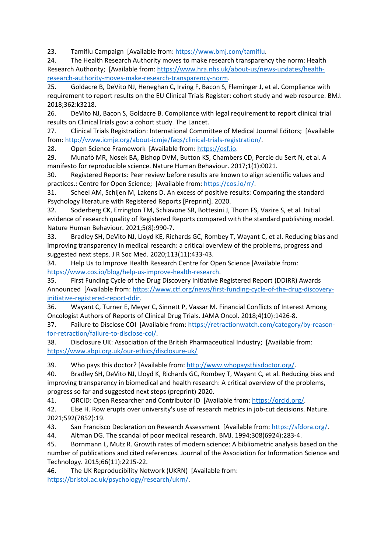23. Tamiflu Campaign [Available from: [https://www.bmj.com/tamiflu.](https://www.bmj.com/tamiflu)

24. The Health Research Authority moves to make research transparency the norm: Health Research Authority; [Available from: [https://www.hra.nhs.uk/about-us/news-updates/health](https://www.hra.nhs.uk/about-us/news-updates/health-research-authority-moves-make-research-transparency-norm)[research-authority-moves-make-research-transparency-norm](https://www.hra.nhs.uk/about-us/news-updates/health-research-authority-moves-make-research-transparency-norm).

25. Goldacre B, DeVito NJ, Heneghan C, Irving F, Bacon S, Fleminger J, et al. Compliance with requirement to report results on the EU Clinical Trials Register: cohort study and web resource. BMJ. 2018;362:k3218.

26. DeVito NJ, Bacon S, Goldacre B. Compliance with legal requirement to report clinical trial results on ClinicalTrials.gov: a cohort study. The Lancet.

27. Clinical Trials Registration: International Committee of Medical Journal Editors; [Available from: [http://www.icmje.org/about-icmje/faqs/clinical-trials-registration/.](http://www.icmje.org/about-icmje/faqs/clinical-trials-registration/)

28. Open Science Framework [Available from: [https://osf.io.](https://osf.io/)

29. Munafò MR, Nosek BA, Bishop DVM, Button KS, Chambers CD, Percie du Sert N, et al. A manifesto for reproducible science. Nature Human Behaviour. 2017;1(1):0021.

30. Registered Reports: Peer review before results are known to align scientific values and practices.: Centre for Open Science; [Available from: <https://cos.io/rr/>.

31. Scheel AM, Schijen M, Lakens D. An excess of positive results: Comparing the standard Psychology literature with Registered Reports [Preprint]. 2020.

32. Soderberg CK, Errington TM, Schiavone SR, Bottesini J, Thorn FS, Vazire S, et al. Initial evidence of research quality of Registered Reports compared with the standard publishing model. Nature Human Behaviour. 2021;5(8):990-7.

33. Bradley SH, DeVito NJ, Lloyd KE, Richards GC, Rombey T, Wayant C, et al. Reducing bias and improving transparency in medical research: a critical overview of the problems, progress and suggested next steps. J R Soc Med. 2020;113(11):433-43.

34. Help Us to Improve Health Research Centre for Open Science [Available from: [https://www.cos.io/blog/help-us-improve-health-research.](https://www.cos.io/blog/help-us-improve-health-research)

35. First Funding Cycle of the Drug Discovery Initiative Registered Report (DDIRR) Awards Announced [Available from: [https://www.ctf.org/news/first-funding-cycle-of-the-drug-discovery](https://www.ctf.org/news/first-funding-cycle-of-the-drug-discovery-initiative-registered-report-ddir)[initiative-registered-report-ddir.](https://www.ctf.org/news/first-funding-cycle-of-the-drug-discovery-initiative-registered-report-ddir)

36. Wayant C, Turner E, Meyer C, Sinnett P, Vassar M. Financial Conflicts of Interest Among Oncologist Authors of Reports of Clinical Drug Trials. JAMA Oncol. 2018;4(10):1426-8.

37. Failure to Disclose COI [Available from: [https://retractionwatch.com/category/by-reason](https://retractionwatch.com/category/by-reason-for-retraction/failure-to-disclose-coi/)[for-retraction/failure-to-disclose-coi/.](https://retractionwatch.com/category/by-reason-for-retraction/failure-to-disclose-coi/)

38. Disclosure UK: Association of the British Pharmaceutical Industry; [Available from: <https://www.abpi.org.uk/our-ethics/disclosure-uk/>

39. Who pays this doctor? [Available from: [http://www.whopaysthisdoctor.org/.](http://www.whopaysthisdoctor.org/)

40. Bradley SH, DeVito NJ, Lloyd K, Richards GC, Rombey T, Wayant C, et al. Reducing bias and improving transparency in biomedical and health research: A critical overview of the problems, progress so far and suggested next steps (preprint) 2020.

41. ORCID: Open Researcher and Contributor ID [Available from: [https://orcid.org/.](https://orcid.org/)

42. Else H. Row erupts over university's use of research metrics in job-cut decisions. Nature. 2021;592(7852):19.

43. San Francisco Declaration on Research Assessment [Available from: [https://sfdora.org/.](https://sfdora.org/)

44. Altman DG. The scandal of poor medical research. BMJ. 1994;308(6924):283-4.

45. Bornmann L, Mutz R. Growth rates of modern science: A bibliometric analysis based on the number of publications and cited references. Journal of the Association for Information Science and Technology. 2015;66(11):2215-22.

46. The UK Reproducibility Network (UKRN) [Available from: [https://bristol.ac.uk/psychology/research/ukrn/.](https://bristol.ac.uk/psychology/research/ukrn/)